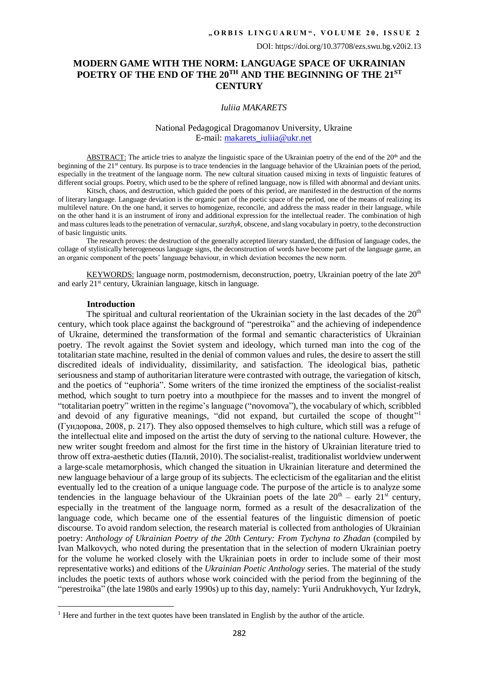## **MODERN GAME WITH THE NORM: LANGUAGE SPACE OF UKRAINIAN POETRY OF THE END OF THE 20TH AND THE BEGINNING OF THE 21ST CENTURY**

#### *Iuliia MAKARETS*

### [National Pedagogical Dragomanov University, Ukraine](file:///d:/Users/y.makarets/Desktop/National%20Pedagogical%20Dragomanov%20University%20(Kyiv,%20Ukraine).https:/orcid.org/0000-0001-5372-5820) E-mail: [makarets\\_iuliia@ukr.net](mailto:makarets_iuliia@ukr.net)

ABSTRACT: The article tries to analyze the linguistic space of the Ukrainian poetry of the end of the 20<sup>th</sup> and the beginning of the 21<sup>st</sup> century. Its purpose is to trace tendencies in the language behavior of the Ukrainian poets of the period, especially in the treatment of the language norm. The new cultural situation caused mixing in texts of linguistic features of different social groups. Poetry, which used to be the sphere of refined language, now is filled with abnormal and deviant units.

Kitsch, chaos, and destruction, which guided the poets of this period, are manifested in the destruction of the norms of literary language. Language deviation is the organic part of the poetic space of the period, one of the means of realizing its multilevel nature. On the one hand, it serves to homogenize, reconcile, and address the mass reader in their language, while on the other hand it is an instrument of irony and additional expression for the intellectual reader. The combination of high and mass cultures leads to the penetration of vernacular, *surzhyk*, obscene, and slang vocabulary in poetry, to the deconstruction of basic linguistic units.

The research proves: the destruction of the generally accepted literary standard, the diffusion of language codes, the collage of stylistically heterogeneous language signs, the deconstruction of words have become part of the language game, an an organic component of the poets' language behaviour, in which deviation becomes the new norm.

KEYWORDS: language norm, postmodernism, deconstruction, poetry, Ukrainian poetry of the late 20<sup>th</sup> and early 21st century, Ukrainian language, kitsch in language.

### **Introduction**

**.** 

The spiritual and cultural reorientation of the Ukrainian society in the last decades of the  $20<sup>th</sup>$ century, which took place against the background of "perestroika" and the achieving of independence of Ukraine, determined the transformation of the formal and semantic characteristics of Ukrainian poetry. The revolt against the Soviet system and ideology, which turned man into the cog of the totalitarian state machine, resulted in the denial of common values and rules, the desire to assert the still discredited ideals of individuality, dissimilarity, and satisfaction. The ideological bias, pathetic seriousness and stamp of authoritarian literature were contrasted with outrage, the variegation of kitsch, and the poetics of "euphoria". Some writers of the time ironized the emptiness of the socialist-realist method, which sought to turn poetry into a mouthpiece for the masses and to invent the mongrel of "totalitarian poetry" written in the regime's language ("novomova"), the vocabulary of which, scribbled and devoid of any figurative meanings, "did not expand, but curtailed the scope of thought" (Гундорова, 2008, p. 217). They also opposed themselves to high culture, which still was a refuge of the intellectual elite and imposed on the artist the duty of serving to the national culture. However, the new writer sought freedom and almost for the first time in the history of Ukrainian literature tried to throw off extra-aesthetic duties (Палий, 2010). The socialist-realist, traditionalist worldview underwent a large-scale metamorphosis, which changed the situation in Ukrainian literature and determined the new language behaviour of a large group of its subjects. The eclecticism of the egalitarian and the elitist eventually led to the creation of a unique language code. The purpose of the article is to analyze some tendencies in the language behaviour of the Ukrainian poets of the late  $20<sup>th</sup>$  – early  $21<sup>st</sup>$  century, especially in the treatment of the language norm, formed as a result of the desacralization of the language code, which became one of the essential features of the linguistic dimension of poetic discourse. To avoid random selection, the research material is collected from anthologies of Ukrainian poetry: *Anthology of Ukrainian Poetry of the 20th Century: From Tychyna to Zhadan* (compiled by Ivan Malkovych, who noted during the presentation that in the selection of modern Ukrainian poetry for the volume he worked closely with the Ukrainian poets in order to include some of their most representative works) and editions of the *Ukrainian Poetic Anthology* series. The material of the study includes the poetic texts of authors whose work coincided with the period from the beginning of the "perestroika" (the late 1980s and early 1990s) up to this day, namely: Yurii Andrukhovych, Yur Izdryk,

<sup>&</sup>lt;sup>1</sup> Here and further in the text quotes have been translated in English by the author of the article.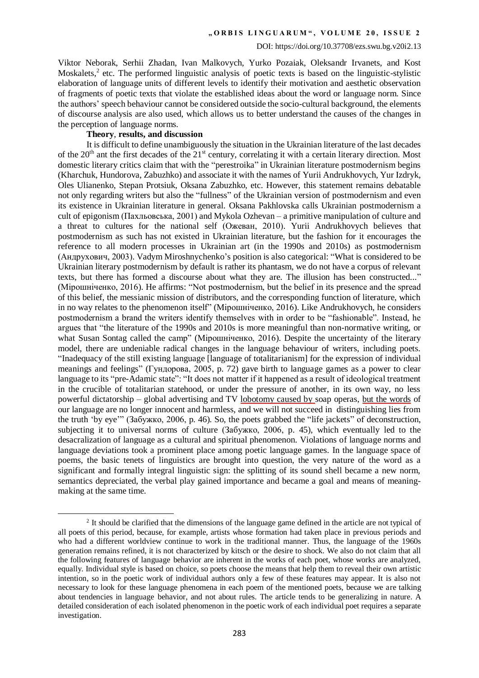Viktor Neborak, Serhii Zhadan, Ivan Malkovych, Yurko Pozaiak, Oleksandr Irvanets, and Kost Moskalets,<sup>2</sup> etc. The performed linguistic analysis of poetic texts is based on the linguistic-stylistic elaboration of language units of different levels to identify their motivation and aesthetic observation of fragments of poetic texts that violate the established ideas about the word or language norm. Since the authors' speech behaviour cannot be considered outside the socio-cultural background, the elements of discourse analysis are also used, which allows us to better understand the causes of the changes in the perception of language norms.

### **Theory**, **results, and discussion**

1

It is difficult to define unambiguously the situation in the Ukrainian literature of the last decades of the 20<sup>th</sup> ant the first decades of the 21<sup>st</sup> century, correlating it with a certain literary direction. Most domestic literary critics claim that with the "perestroika" in Ukrainian literature postmodernism begins (Kharchuk, Hundorova, Zabuzhko) and associate it with the names of Yurii Andrukhovych, Yur Izdryk, Oles Ulianenko, Stepan Protsiuk, Oksana Zabuzhko, etc. However, this statement remains debatable not only regarding writers but also the "fullness" of the Ukrainian version of postmodernism and even its existence in Ukrainian literature in general. Oksana Pakhlovska calls Ukrainian postmodernism a cult of epigonism (Пахльовська, 2001) and Mykola Ozhevan – a primitive manipulation of culture and a threat to cultures for the national self (Ожеван, 2010). Yurii Andrukhovych believes that postmodernism as such has not existed in Ukrainian literature, but the fashion for it encourages the reference to all modern processes in Ukrainian art (in the 1990s and 2010s) as postmodernism (Андрухович, 2003). Vadym Miroshnychenko's position is also categorical: "What is considered to be Ukrainian literary postmodernism by default is rather its phantasm, we do not have a corpus of relevant texts, but there has formed a discourse about what they are. The illusion has been constructed..." (Мірошніченко, 2016). He affirms: "Not postmodernism, but the belief in its presence and the spread of this belief, the messianic mission of distributors, and the corresponding function of literature, which in no way relates to the phenomenon itself" (Мірошніченко, 2016). Like Andrukhovych, he considers postmodernism a brand the writers identify themselves with in order to be "fashionable". Instead, he argues that "the literature of the 1990s and 2010s is more meaningful than non-normative writing, or what Susan Sontag called the camp" (Мірошніченко, 2016). Despite the uncertainty of the literary model, there are undeniable radical changes in the language behaviour of writers, including poets. "Inadequacy of the still existing language [language of totalitarianism] for the expression of individual meanings and feelings" (Гундорова, 2005, p. 72) gave birth to language games as a power to clear language to its "pre-Adamic state": "It does not matter if it happened as a result of ideological treatment in the crucible of totalitarian statehood, or under the pressure of another, in its own way, no less powerful dictatorship – global advertising and TV lobotomy caused by soap operas, but the words of our language are no longer innocent and harmless, and we will not succeed in distinguishing lies from the truth 'by eye'" (Забужко, 2006, p. 46)*.* So, the poets grabbed the "life jackets" of deconstruction, subjecting it to universal norms of culture (Забужко, 2006, p. 45), which eventually led to the desacralization of language as a cultural and spiritual phenomenon. Violations of language norms and language deviations took a prominent place among poetic language games. In the language space of poems, the basic tenets of linguistics are brought into question, the very nature of the word as a significant and formally integral linguistic sign: the splitting of its sound shell became a new norm, semantics depreciated, the verbal play gained importance and became a goal and means of meaningmaking at the same time.

<sup>&</sup>lt;sup>2</sup> It should be clarified that the dimensions of the language game defined in the article are not typical of all poets of this period, because, for example, artists whose formation had taken place in previous periods and who had a different worldview continue to work in the traditional manner. Thus, the language of the 1960s generation remains refined, it is not characterized by kitsch or the desire to shock. We also do not claim that all the following features of language behavior are inherent in the works of each poet, whose works are analyzed, equally. Individual style is based on choice, so poets choose the means that help them to reveal their own artistic intention, so in the poetic work of individual authors only a few of these features may appear. It is also not necessary to look for these language phenomena in each poem of the mentioned poets, because we are talking about tendencies in language behavior, and not about rules. The article tends to be generalizing in nature. A detailed consideration of each isolated phenomenon in the poetic work of each individual poet requires a separate investigation.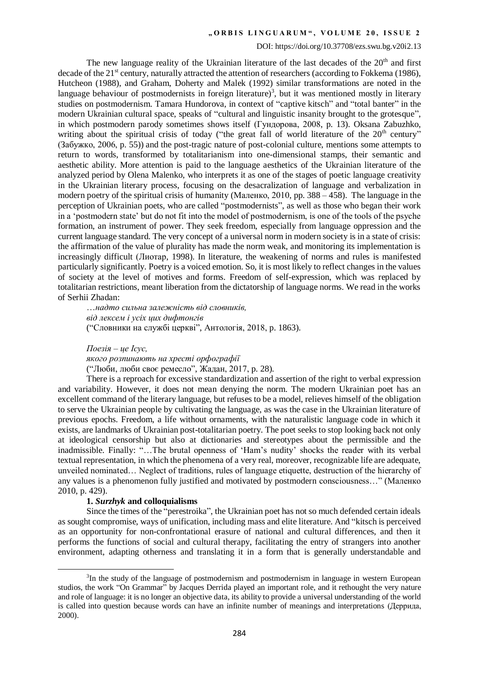### DOI: https://doi.org/10.37708/ezs.swu.bg.v20i2.13

The new language reality of the Ukrainian literature of the last decades of the  $20<sup>th</sup>$  and first decade of the 21<sup>st</sup> century, naturally attracted the attention of researchers (according to Fokkema (1986), Hutcheon (1988), and Graham, Doherty and Malek (1992) similar transformations are noted in the language behaviour of postmodernists in foreign literature)<sup>3</sup>, but it was mentioned mostly in literary studies on postmodernism. Tamara Hundorova, in context of "captive kitsch" and "total banter" in the modern Ukrainian cultural space, speaks of "cultural and linguistic insanity brought to the grotesque", in which postmodern parody sometimes shows itself (Гундорова, 2008, p. 13). Oksana Zabuzhko, writing about the spiritual crisis of today ("the great fall of world literature of the  $20<sup>th</sup>$  century" (Забужко, 2006, p. 55)) and the post-tragic nature of post-colonial culture, mentions some attempts to return to words, transformed by totalitarianism into one-dimensional stamps, their semantic and aesthetic ability. More attention is paid to the language aesthetics of the Ukrainian literature of the analyzed period by Olena Malenko, who interprets it as one of the stages of poetic language creativity in the Ukrainian literary process, focusing on the desacralization of language and verbalization in modern poetry of the spiritual crisis of humanity (Маленко, 2010, pp. 388 *–* 458). The language in the perception of Ukrainian poets, who are called "postmodernists", as well as those who began their work in a 'postmodern state' but do not fit into the model of postmodernism, is one of the tools of the psyche formation, an instrument of power. They seek freedom, especially from language oppression and the current language standard. The very concept of a universal norm in modern society is in a state of crisis: the affirmation of the value of plurality has made the norm weak, and monitoring its implementation is increasingly difficult (Лиотар, 1998). In literature, the weakening of norms and rules is manifested particularly significantly. Poetry is a voiced emotion. So, it is most likely to reflect changes in the values of society at the level of motives and forms. Freedom of self-expression, which was replaced by totalitarian restrictions, meant liberation from the dictatorship of language norms. We read in the works of Serhii Zhadan:

…*надто сильна залежність від словників, від лексем і усіх цих дифтонгів* ("Словники на службі церкві", Антологія, 2018, p. 1863).

*Поезія – це Ісус,* 

*якого розпинають на хресті орфографії*

("Люби, люби своє ремесло", Жадан, 2017, p. 28).

There is a reproach for excessive standardization and assertion of the right to verbal expression and variability. However, it does not mean denying the norm. The modern Ukrainian poet has an excellent command of the literary language, but refuses to be a model, relieves himself of the obligation to serve the Ukrainian people by cultivating the language, as was the case in the Ukrainian literature of previous epochs. Freedom, a life without ornaments, with the naturalistic language code in which it exists, are landmarks of Ukrainian post-totalitarian poetry. The poet seeks to stop looking back not only at ideological censorship but also at dictionaries and stereotypes about the permissible and the inadmissible. Finally: "…The brutal openness of 'Ham's nudity' shocks the reader with its verbal textual representation, in which the phenomena of a very real, moreover, recognizable life are adequate, unveiled nominated… Neglect of traditions, rules of language etiquette, destruction of the hierarchy of any values is a phenomenon fully justified and motivated by postmodern consciousness…" (Маленко 2010, p. 429).

#### **1.** *Surzhyk* **and colloquialisms**

**.** 

Since the times of the "perestroika", the Ukrainian poet has not so much defended certain ideals as sought compromise, ways of unification, including mass and elite literature. And "kitsch is perceived as an opportunity for non-confrontational erasure of national and cultural differences, and then it performs the functions of social and cultural therapy, facilitating the entry of strangers into another environment, adapting otherness and translating it in a form that is generally understandable and

<sup>&</sup>lt;sup>3</sup>In the study of the language of postmodernism and postmodernism in language in western European studios, the work "On Grammar" by Jacques Derrida played an important role, and it rethought the very nature and role of language: it is no longer an objective data, its ability to provide a universal understanding of the world is called into question because words can have an infinite number of meanings and interpretations (Деррида, 2000).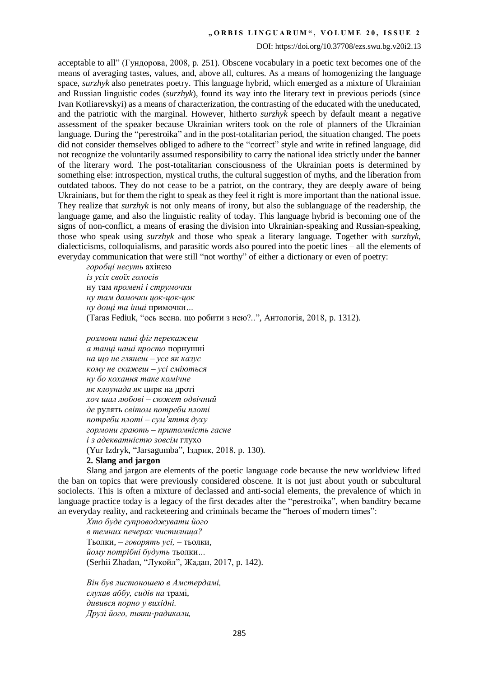#### DOI: https://doi.org/10.37708/ezs.swu.bg.v20i2.13

acceptable to all" (Гундорова, 2008, p. 251). Obscene vocabulary in a poetic text becomes one of the means of averaging tastes, values, and, above all, cultures. As a means of homogenizing the language space, *surzhyk* also penetrates poetry. This language hybrid, which emerged as a mixture of Ukrainian and Russian linguistic codes (*surzhyk*), found its way into the literary text in previous periods (since Ivan Kotliarevskyi) as a means of characterization, the contrasting of the educated with the uneducated, and the patriotic with the marginal. However, hitherto *surzhyk* speech by default meant a negative assessment of the speaker because Ukrainian writers took on the role of planners of the Ukrainian language. During the "perestroika" and in the post-totalitarian period, the situation changed. The poets did not consider themselves obliged to adhere to the "correct" style and write in refined language, did not recognize the voluntarily assumed responsibility to carry the national idea strictly under the banner of the literary word. The post-totalitarian consciousness of the Ukrainian poets is determined by something else: introspection, mystical truths, the cultural suggestion of myths, and the liberation from outdated taboos. They do not cease to be a patriot, on the contrary, they are deeply aware of being Ukrainians, but for them the right to speak as they feel it right is more important than the national issue. They realize that *surzhyk* is not only means of irony, but also the sublanguage of the readership, the language game, and also the linguistic reality of today. This language hybrid is becoming one of the signs of non-conflict, a means of erasing the division into Ukrainian-speaking and Russian-speaking, those who speak using *surzhyk* and those who speak a literary language. Together with *surzhyk*, dialecticisms, colloquialisms, and parasitic words also poured into the poetic lines – all the elements of everyday communication that were still "not worthy" of either a dictionary or even of poetry:

*горобці несуть* ахінею *із усіх своїх голосів*  ну там *промені і струмочки ну там дамочки цок-цок-цок ну дощі та інші* примочки*…*  (Тaras Fediuk, "ось весна. що робити з нею?..", Антологія, 2018, p. 1312).

*розмови наші фіг перекажеш а танці наші просто* порнушні *на що не глянеш – усе як казус кому не скажеш – усі сміються ну бо кохання таке комічне як клоунада як* цирк на дроті *хоч шал любові – сюжет одвічний де* рулять *світом потреби плоті потреби плоті – сум'яття духу гормони грають – притомність гасне і з адекватністю зовсім* глухо (Yur Izdryk, "Jarsagumba", Іздрик, 2018, p. 130)*.*  **2. Slang and jargon**

Slang and jargon are elements of the poetic language code because the new worldview lifted the ban on topics that were previously considered obscene. It is not just about youth or subcultural sociolects. This is often a mixture of declassed and anti-social elements, the prevalence of which in language practice today is a legacy of the first decades after the "perestroika", when banditry became an everyday reality, and racketeering and criminals became the "heroes of modern times":

*Хто буде супроводжувати його в темних печерах чистилища?*  Тьолки*, – говорять усі, –* тьолки*, йому потрібні будуть* тьолки*…* (Serhii Zhadan, "Лукойл", Жадан, 2017, p. 142).

*Він був листоношею в Амстердамі, слухав аббу, сидів на* трамі*, дивився порно у вихідні. Друзі його, пияки-радикали,*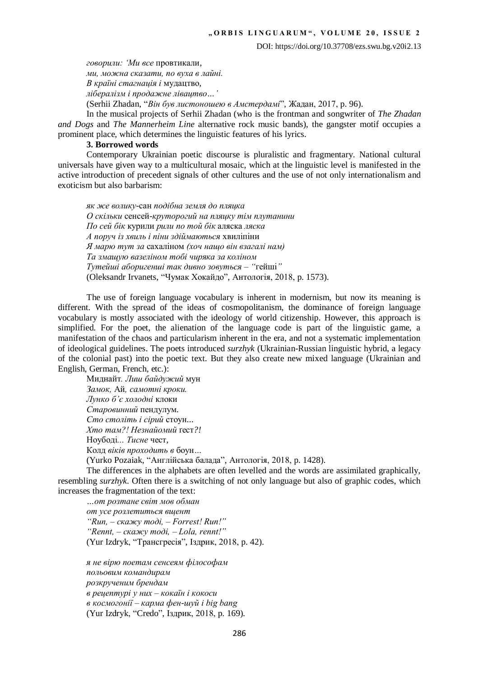*говорили: 'Ми все* провтикали*, ми, можна сказати, по вуха в лайні. В країні стагнація і* мудацтво*, лібералізм і продажне лівацтво…'* (Serhii Zhadan, "*Він був листоношею в Амстердамі*", Жадан, 2017, p. 96).

In the musical projects of Serhii Zhadan (who is the frontman and songwriter of *The Zhadan and Dogs* and *The Mannerheim Line* alternative rock music bands), the gangster motif occupies a prominent place, which determines the linguistic features of his lyrics.

### **3. Borrowed words**

Contemporary Ukrainian poetic discourse is pluralistic and fragmentary. National cultural universals have given way to a multicultural mosaic, which at the linguistic level is manifested in the active introduction of precedent signals of other cultures and the use of not only internationalism and exoticism but also barbarism:

*як же волику*-сан *подібна земля до пляцка О скільки* сенсей*-круторогий на пляцку тім плутанини По сей бік* курили *рили по той бік* аляска *ляска А поруч із хвиль і піни здіймаються* хвиліпіни *Я марю тут за* сахаліном *(хоч нащо він взагалі нам) Та змащую вазеліном тобі чиряка за коліном Тутейші аборигенші так дивно зовуться – "*гейші*"* (Oleksandr Irvanets, "Чумак Хокайдо", Антологія, 2018, p. 1573).

The use of foreign language vocabulary is inherent in modernism, but now its meaning is different. With the spread of the ideas of cosmopolitanism, the dominance of foreign language vocabulary is mostly associated with the ideology of world citizenship. However, this approach is simplified. For the poet, the alienation of the language code is part of the linguistic game, a manifestation of the chaos and particularism inherent in the era, and not a systematic implementation of ideological guidelines. The poets introduced *surzhyk* (Ukrainian-Russian linguistic hybrid, a legacy of the colonial past) into the poetic text. But they also create new mixed language (Ukrainian and English, German, French, etc.):

Миднайт*. Лиш байдужий* мун *Замок,* Ай*, самотні кроки. Лунко б'є холодні* клоки *Старовинний* пендулум*. Сто століть і сірий* стоун*... Хто там?! Незнайомий* ґест*?!*  Ноубоді*... Тисне* чест*,*  Колд *віків проходить в* боун*…* (Yurko Pozaiak, "Англійська балада", Антологія, 2018, p. 1428).

The differences in the alphabets are often levelled and the words are assimilated graphically, resembling *surzhyk*. Often there is a switching of not only language but also of graphic codes, which increases the fragmentation of the text:

*…от розтане світ мов обман от усе розлетиться вщент "Run, – скажу тоді, – Forrest! Run!" "Rennt, – скажу тоді, – Lola, rennt!"* (Yur Izdryk, "Трансгресія", Іздрик, 2018, p. 42).

*я не вірю поетам сенсеям філософам польовим командирам розкрученим брендам в рецептурі у них – кокаїн і кокоси в космогонії – карма фен-шуй і big bang* (Yur Izdryk, "Credo", Іздрик, 2018, p. 169).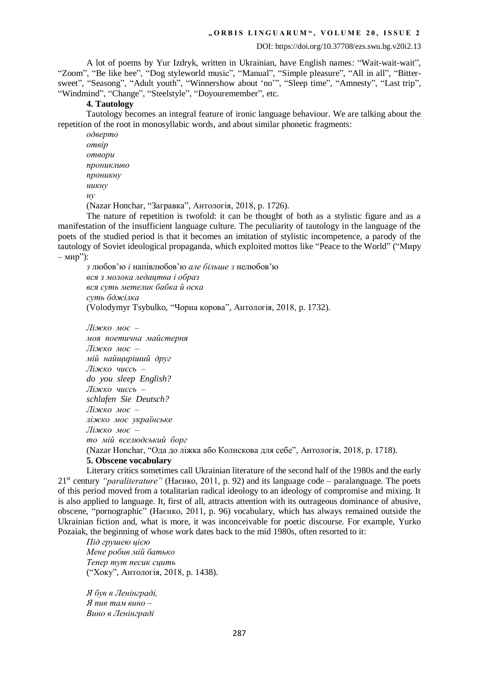A lot of poems by Yur Izdryk, written in Ukrainian, have English names: "Wait-wait-wait", "Zoom", "Be like bee", "Dog styleworld musiс", "Manual", "Simple pleasure", "All in all", "Bittersweet", "Seasong", "Adult youth", "Winnershow about 'no'", "Sleep time", "Amnesty", "Last trip", "Windmind", "Change", "Steelstyle", "Doyouremember", etc.

## **4. Tautology**

Tautology becomes an integral feature of ironic language behaviour. We are talking about the repetition of the root in monosyllabic words, and about similar phonetic fragments:

*одверто отвір отвори проникливо проникну никну ну* (Nazar Honchar, "Загравка", Антологія, 2018, p. 1726).

The nature of repetition is twofold: it can be thought of both as a stylistic figure and as a manifestation of the insufficient language culture. The peculiarity of tautology in the language of the poets of the studied period is that it becomes an imitation of stylistic incompetence, a parody of the tautology of Soviet ideological propaganda, which exploited mottos like "Peace to the World" ("Миру – мир"):

*з* любов'ю *і* напівлюбов'ю *але більше з* нелюбов'ю *вся з молока ледацтва і образ вся суть метелик бабка й оска суть бджілка* (Volodymyr Tsybulko, "Чорна корова", Антологія, 2018, p. 1732).

*Ліжко моє – моя поетична майстерня Ліжко моє – мій найщиріший друг Ліжко чиєсь – do you sleep English? Ліжко чиєсь – schlafen Sie Deutsch? Ліжко моє – ліжко моє українське Ліжко моє – то мій вселюдський борг* (Nazar Honchar, "Ода до ліжка або Колискова для себе", Антологія, 2018, p. 1718). **5. Obscene vocabulary**

Literary critics sometimes call Ukrainian literature of the second half of the 1980s and the early 21st century *"paraliterature"* (Наєнко, 2011, p. 92) and its language code – paralanguage. The poets of this period moved from a totalitarian radical ideology to an ideology of compromise and mixing. It is also applied to language. It, first of all, attracts attention with its outrageous dominance of abusive, obscene, "pornographic" (Наєнко, 2011, p. 96) vocabulary, which has always remained outside the Ukrainian fiction and, what is more, it was inconceivable for poetic discourse. For example, Yurko Pozaiak, the beginning of whose work dates back to the mid 1980s, often resorted to it:

*Під грушею цією Мене робив мій батько Тепер тут песик сцить* ("Хоку", Антологія, 2018, p. 1438).

*Я був в Ленінграді, Я пив там вино – Вино в Ленінграді*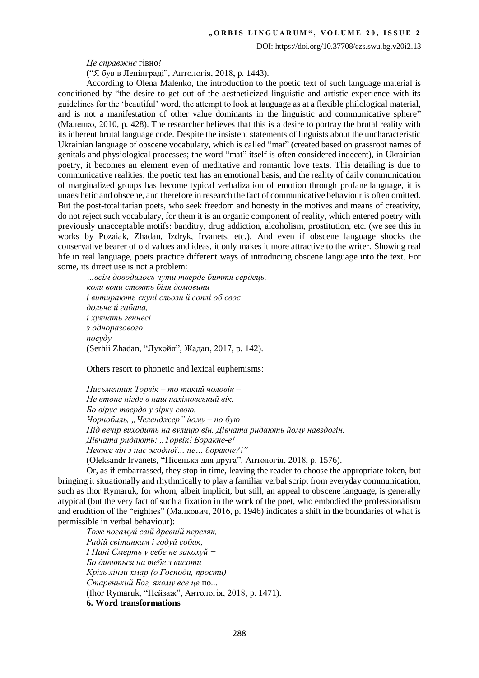DOI: https://doi.org/10.37708/ezs.swu.bg.v20i2.13

*Це справжнє* гівно*!*

("Я був в Ленінграді", Антологія, 2018, p. 1443).

According to Olena Malenko, the introduction to the poetic text of such language material is conditioned by "the desire to get out of the aestheticized linguistic and artistic experience with its guidelines for the 'beautiful' word, the attempt to look at language as at a flexible philological material, and is not a manifestation of other value dominants in the linguistic and communicative sphere" (Маленко, 2010, p. 428). The researcher believes that this is a desire to portray the brutal reality with its inherent brutal language code. Despite the insistent statements of linguists about the uncharacteristic Ukrainian language of obscene vocabulary, which is called "mat" (created based on grassroot names of genitals and physiological processes; the word "mat" itself is often considered indecent), in Ukrainian poetry, it becomes an element even of meditative and romantic love texts. This detailing is due to communicative realities: the poetic text has an emotional basis, and the reality of daily communication of marginalized groups has become typical verbalization of emotion through profane language, it is unaesthetic and obscene, and therefore in research the fact of communicative behaviour is often omitted. But the post-totalitarian poets, who seek freedom and honesty in the motives and means of creativity, do not reject such vocabulary, for them it is an organic component of reality, which entered poetry with previously unacceptable motifs: banditry, drug addiction, alcoholism, prostitution, etc. (we see this in works by Pozaiak, Zhadan, Izdryk, Irvanets, etc.). And even if obscene language shocks the conservative bearer of old values and ideas, it only makes it more attractive to the writer. Showing real life in real language, poets practice different ways of introducing obscene language into the text. For some, its direct use is not a problem:

*…всім доводилось чути тверде биття сердець, коли вони стоять біля домовини і витирають скупі сльози й соплі об своє дольче й габана, і хуячать геннесі з одноразового посуду*  (Serhii Zhadan, "Лукойл", Жадан, 2017, p. 142).

Others resort to phonetic and lexical euphemisms:

*Письменник Торвік – то такий чоловік – Не втоне нігде в наш нахімовський вік. Бо вірує твердо у зірку свою. Чорнобиль, "Челенджер" йому – по бую Під вечір виходить на вулицю він. Дівчата ридають йому навздогін. Дівчата ридають: "Торвік! Боракне-е! Невже він з нас жодної… не… боракне?!"* (Оleksandr Irvanets, "Пісенька для друга", Антологія, 2018, p. 1576).

Or, as if embarrassed, they stop in time, leaving the reader to choose the appropriate token, but bringing it situationally and rhythmically to play a familiar verbal script from everyday communication, such as Ihor Rymaruk, for whom, albeit implicit, but still, an appeal to obscene language, is generally atypical (but the very fact of such a fixation in the work of the poet, who embodied the professionalism and erudition of the "eighties" (Малкович, 2016, p. 1946) indicates a shift in the boundaries of what is permissible in verbal behaviour):

*Тож погамуй свій древній переляк, Радій світанкам і годуй собак, І Пані Смерть у себе не закохуй − Бо дивиться на тебе з висоти Крізь лінзи хмар (о Господи, прости) Старенький Бог, якому все це* по... (Ihor Rymaruk, "Пейзаж", Антологія, 2018, p. 1471). **6. Word transformations**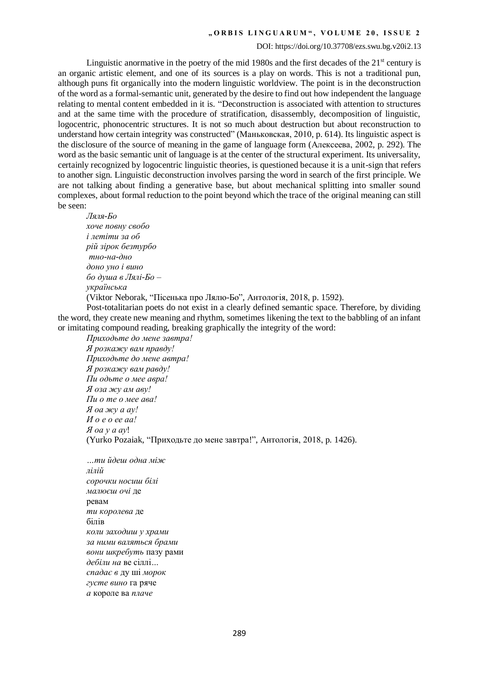#### DOI: https://doi.org/10.37708/ezs.swu.bg.v20i2.13

Linguistic anormative in the poetry of the mid 1980s and the first decades of the  $21<sup>st</sup>$  century is an organic artistic element, and one of its sources is a play on words. This is not a traditional pun, although puns fit organically into the modern linguistic worldview. The point is in the deconstruction of the word as a formal-semantic unit, generated by the desire to find out how independent the language relating to mental content embedded in it is. "Deconstruction is associated with attention to structures and at the same time with the procedure of stratification, disassembly, decomposition of linguistic, logocentric, phonocentric structures. It is not so much about destruction but about reconstruction to understand how certain integrity was constructed" (Маньковская, 2010, p. 614). Its linguistic aspect is the disclosure of the source of meaning in the game of language form (Алексеева, 2002, p. 292). The word as the basic semantic unit of language is at the center of the structural experiment. Its universality, certainly recognized by logocentric linguistic theories, is questioned because it is a unit-sign that refers to another sign. Linguistic deconstruction involves parsing the word in search of the first principle. We are not talking about finding a generative base, but about mechanical splitting into smaller sound complexes, about formal reduction to the point beyond which the trace of the original meaning can still be seen:

*Ляля-Бо хоче повну свобо і летіти за об рій зірок безтурбо тно-на-дно доно уно і вино бо душа в Лялі-Бо – українська* (Viktor Neborak, "Пісенька про Лялю-Бо", Антологія, 2018, p. 1592).

Post-totalitarian poets do not exist in a clearly defined semantic space. Therefore, by dividing the word, they create new meaning and rhythm, sometimes likening the text to the babbling of an infant or imitating compound reading, breaking graphically the integrity of the word:

*Приходьте до мене завтра! Я розкажу вам правду! Приходьте до мене автра! Я розкажу вам равду! Пи одьте о мее авра! Я оза жу ам аву! Пи о те о мее ава! Я оа жу а ау! И о е о ее аа! Я оа у а ау*! (Yurko Pozaiak, "Приходьте до мене завтра!", Антологія, 2018, p. 1426).

*…ти йдеш одна між лілій сорочки носиш білі малюєш очі* де ревам *ти королева* де білів *коли заходиш у храми за ними валяться брами вони шкребуть* пазу рами *дебіли на* ве сіллі*… спадає в* ду ші *морок густе вино* га ряче *а* короле ва *плаче*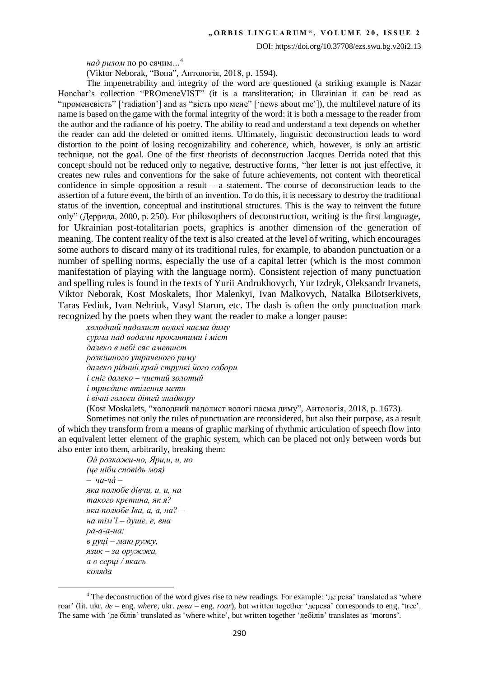DOI: https://doi.org/10.37708/ezs.swu.bg.v20i2.13

*над рилом* по ро сячим*…*<sup>4</sup>

(Viktor Neborak, "Вона", Антологія, 2018, p. 1594).

The impenetrability and integrity of the word are questioned (a striking example is Nazar Honchar's collection "PROmeneVIST" (it is a transliteration; in Ukrainian it can be read as "променевість" ['radiation'] and as "вість про мене" ['news about me']), the multilevel nature of its name is based on the game with the formal integrity of the word: it is both a message to the reader from the author and the radiance of his poetry. The ability to read and understand a text depends on whether the reader can add the deleted or omitted items. Ultimately, linguistic deconstruction leads to word distortion to the point of losing recognizability and coherence, which, however, is only an artistic technique, not the goal. One of the first theorists of deconstruction Jacques Derrida noted that this concept should not be reduced only to negative, destructive forms, "her letter is not just effective, it creates new rules and conventions for the sake of future achievements, not content with theoretical confidence in simple opposition a result – a statement. The course of deconstruction leads to the assertion of a future event, the birth of an invention. To do this, it is necessary to destroy the traditional status of the invention, conceptual and institutional structures. This is the way to reinvent the future only" (Деррида, 2000, p. 250). For philosophers of deconstruction, writing is the first language, for Ukrainian post-totalitarian poets, graphics is another dimension of the generation of meaning. The content reality of the text is also created at the level of writing, which encourages some authors to discard many of its traditional rules, for example, to abandon punctuation or a number of spelling norms, especially the use of a capital letter (which is the most common manifestation of playing with the language norm). Consistent rejection of many punctuation and spelling rules is found in the texts of Yurii Andrukhovych, Yur Izdryk, Oleksandr Irvanets, Viktor Neborak, Kost Moskalets, Ihor Malenkyi, Ivan Malkovych, Natalka Bilotserkivets, Taras Fediuk, Ivan Nehriuk, Vasyl Starun, etc. The dash is often the only punctuation mark recognized by the poets when they want the reader to make a longer pause:

*холодний падолист вологі пасма диму сурма над водами проклятими і міст далеко в небі сяє аметист розкішного утраченого риму далеко рідний край стрункі його собори і сніг далеко* – *чистий золотий і триєдине втілення мети і вічні голоси дітей знадвору* (Кost Moskalets, "холодний падолист вологі пасма диму", Антологія, 2018, p. 1673).

Sometimes not only the rules of punctuation are reconsidered, but also their purpose, as a result of which they transform from a means of graphic marking of rhythmic articulation of speech flow into an equivalent letter element of the graphic system, which can be placed not only between words but also enter into them, arbitrarily, breaking them:

*Ой розкажи-но, Яри,и, и, но (це ніби сповідь моя) – ча-чá – яка полюбе дівчи, и, и, на такого кретина, як я? яка полюбе Іва, а, а, на? – на тім'ї – душе, е, вна ра-а-а-на; в руці – маю ружу, язик – за оружжа, а в серці / якась коляда*

1

<sup>&</sup>lt;sup>4</sup> The deconstruction of the word gives rise to new readings. For example: '*ne* per a' translated as 'where roar' (lit. ukr. *де* – eng. *where*, ukr. *рева* – eng. *roar*), but written together 'дерева' corresponds to eng. 'tree'. The same with 'де білів' translated as 'where white', but written together 'дебілів' translates as 'morons'.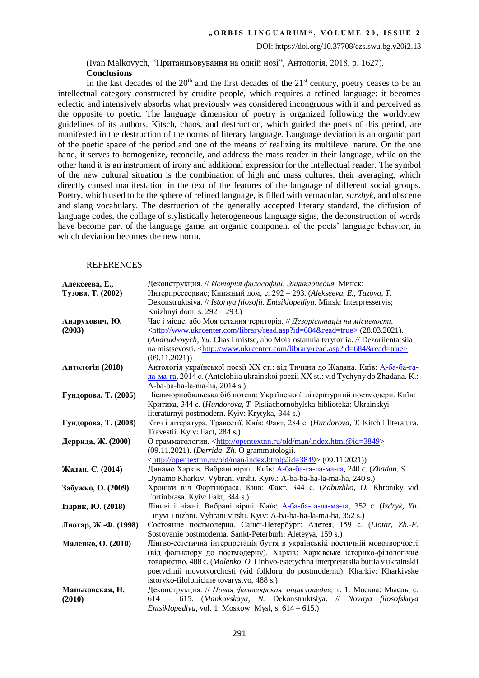(Іvan Malkovych, "Пританцьовування на одній нозі", Антологія, 2018, p. 1627). **Conclusions**

In the last decades of the  $20<sup>th</sup>$  and the first decades of the  $21<sup>st</sup>$  century, poetry ceases to be an intellectual category constructed by erudite people, which requires a refined language: it becomes eclectic and intensively absorbs what previously was considered incongruous with it and perceived as the opposite to poetic. The language dimension of poetry is organized following the worldview guidelines of its authors. Kitsch, chaos, and destruction, which guided the poets of this period, are manifested in the destruction of the norms of literary language. Language deviation is an organic part of the poetic space of the period and one of the means of realizing its multilevel nature. On the one hand, it serves to homogenize, reconcile, and address the mass reader in their language, while on the other hand it is an instrument of irony and additional expression for the intellectual reader. The symbol of the new cultural situation is the combination of high and mass cultures, their averaging, which directly caused manifestation in the text of the features of the language of different social groups. Poetry, which used to be the sphere of refined language, is filled with vernacular, *surzhyk*, and obscene and slang vocabulary. The destruction of the generally accepted literary standard, the diffusion of language codes, the collage of stylistically heterogeneous language signs, the deconstruction of words have become part of the language game, an organic component of the poets' language behavior, in which deviation becomes the new norm.

#### **REFERENCES**

| Алексеева, Е.,<br>Тузова, Т. (2002) | Деконструкция. // История философии. Энциклопедия. Минск:<br>Интерпрессервис; Книжный дом, с. 292 - 293. (Alekseeva, E., Tuzova, T.                                     |
|-------------------------------------|-------------------------------------------------------------------------------------------------------------------------------------------------------------------------|
|                                     | Dekonstruktsiya. // Istoriya filosofii. Entsiklopediya. Minsk: Interpresservis;                                                                                         |
|                                     | Knizhnyi dom, s. 292 – 293.)                                                                                                                                            |
| Андрухович, Ю.<br>(2003)            | Час і місце, або Моя остання територія. // Дезорієнтація на місцевості.<br><http: library="" read.asp?id="684&amp;read=true" www.ukrcenter.com="">(28.03.2021).</http:> |
|                                     | (Andrukhovych, Yu. Chas i mistse, abo Moia ostannia terytoriia. // Dezoriientatsiia                                                                                     |
|                                     | na mistsevosti. <http: library="" read.asp?id="684&amp;read=true" www.ukrcenter.com=""><br/>(09.11.2021)</http:>                                                        |
| Антологія (2018)                    | Антологія української поезії XX ст.: від Тичини до Жадана. Київ: А-ба-ба-га-                                                                                            |
|                                     | ла-ма-га, 2014 с. (Antolohiia ukrainskoi poezii XX st.: vid Tychyny do Zhadana. K.:                                                                                     |
|                                     | A-ba-ba-ha-la-ma-ha, 2014 s.)                                                                                                                                           |
| Гундорова, Т. (2005)                | Післячорнобильська бібліотека: Український літературний постмодерн. Київ:                                                                                               |
|                                     | Критика, 344 с. (Hundorova, T. Pisliachornobylska biblioteka: Ukrainskyi                                                                                                |
|                                     | literaturnyi postmodern. Kyiv: Krytyka, 344 s.)                                                                                                                         |
| Гундорова, Т. (2008)                | Кітч і література. Травестії. Київ: Факт, 284 с. (Hundorova, T. Kitch і literatura.<br>Travestii. Kyiv: Fact, 284 s.)                                                   |
| Деррида, Ж. (2000)                  | О грамматологии. <http: index.html@id="3849" man="" old="" opentextnn.ru=""></http:>                                                                                    |
|                                     | (09.11.2021). (Derrida, Zh. O grammatologii.                                                                                                                            |
|                                     | <http: index.html@id="3849" man="" old="" opentextnn.ru=""> (09.11.2021))</http:>                                                                                       |
| Жадан, С. (2014)                    | Динамо Харків. Вибрані вірші. Київ: А-ба-ба-га-ла-ма-га, 240 с. (Zhadan, S.                                                                                             |
|                                     | Dynamo Kharkiv. Vybrani virshi. Kyiv.: A-ba-ba-ha-la-ma-ha, 240 s.)                                                                                                     |
| Забужко, О. (2009)                  | Хроніки від Фортінбраса. Київ: Факт, 344 с. (Zabuzhko, O. Khroniky vid                                                                                                  |
|                                     | Fortinbrasa. Kyiv: Fakt, 344 s.)                                                                                                                                        |
| Іздрик, Ю. (2018)                   | Ліниві і ніжні. Вибрані вірші. Київ: А-ба-ба-га-ла-ма-га, 352 с. (Izdryk, Yu.                                                                                           |
|                                     | Linyvi i nizhni. Vybrani virshi. Kyiv: A-ba-ba-ha-la-ma-ha, 352 s.)                                                                                                     |
| Лиотар, Ж.-Ф. (1998)                | Состояние постмодерна. Санкт-Петербург: Алетея, 159 с. (Liotar, Zh.-F.                                                                                                  |
| Маленко, О. (2010)                  | Sostoyanie postmoderna. Sankt-Peterburh: Aleteyya, 159 s.)<br>Лінгво-естетична інтерпретація буття в українській поетичній мовотворчості                                |
|                                     | (від фольклору до постмодерну). Харків: Харківське історико-філологічне                                                                                                 |
|                                     | товариство, 488 с. (Malenko, O. Linhvo-estetychna interpretatsiia buttia v ukrainskii                                                                                   |
|                                     | poetychnii movotvorchosti (vid folkloru do postmodernu). Kharkiv: Kharkivske                                                                                            |
|                                     | istoryko-filolohichne tovarystvo, 488 s.)                                                                                                                               |
| Маньковская, Н.                     | Деконструкция. // Новая философская энциклопедия, т. 1. Москва: Мысль, с.                                                                                               |
| (2010)                              | 614 - 615. (Mankovskaya, N. Dekonstruktsiya. // Novaya filosofskaya                                                                                                     |
|                                     | Entsiklopediya, vol. 1. Moskow: Mysl, s. 614 - 615.)                                                                                                                    |